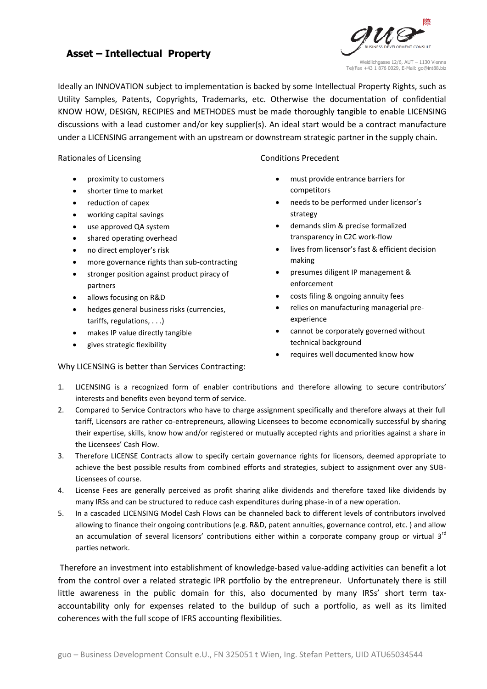## **INNOVATION MANAGEMENT**



Ideally an INNOVATION subject to implementation is backed by some Intellectual Property Rights, such as Utility Samples, Patents, Copyrights, Trademarks, etc. Otherwise the documentation of confidential KNOW HOW, DESIGN, RECIPIES and METHODES must be made thoroughly tangible to enable LICENSING discussions with a lead customer and/or key supplier(s). An ideal start would be a contract manufacture under a LICENSING arrangement with an upstream or downstream strategic partner in the supply chain.

## Rationales of Licensing Conditions Precedent

- proximity to customers
- shorter time to market
- reduction of capex
- working capital savings
- use approved QA system
- shared operating overhead
- no direct employer's risk
- more governance rights than sub-contracting
- stronger position against product piracy of partners
- allows focusing on R&D
- hedges general business risks (currencies, tariffs, regulations, . . .)
- makes IP value directly tangible
- gives strategic flexibility

- must provide entrance barriers for competitors
- needs to be performed under licensor's strategy
- demands slim & precise formalized transparency in C2C work-flow
- lives from licensor's fast & efficient decision making
- presumes diligent IP management & enforcement
- costs filing & ongoing annuity fees
- relies on manufacturing managerial preexperience
- cannot be corporately governed without technical background
- requires well documented know how

# Why LICENSING is better than Services Contracting:

- 1. LICENSING is a recognized form of enabler contributions and therefore allowing to secure contributors' interests and benefits even beyond term of service.
- 2. Compared to Service Contractors who have to charge assignment specifically and therefore always at their full tariff, Licensors are rather co-entrepreneurs, allowing Licensees to become economically successful by sharing their expertise, skills, know how and/or registered or mutually accepted rights and priorities against a share in the Licensees' Cash Flow.
- 3. Therefore LICENSE Contracts allow to specify certain governance rights for licensors, deemed appropriate to achieve the best possible results from combined efforts and strategies, subject to assignment over any SUB-Licensees of course.
- 4. License Fees are generally perceived as profit sharing alike dividends and therefore taxed like dividends by many IRSs and can be structured to reduce cash expenditures during phase-in of a new operation.
- 5. In a cascaded LICENSING Model Cash Flows can be channeled back to different levels of contributors involved allowing to finance their ongoing contributions (e.g. R&D, patent annuities, governance control, etc. ) and allow an accumulation of several licensors' contributions either within a corporate company group or virtual 3<sup>rd</sup> parties network.

 Therefore an investment into establishment of knowledge-based value-adding activities can benefit a lot from the control over a related strategic IPR portfolio by the entrepreneur. Unfortunately there is still little awareness in the public domain for this, also documented by many IRSs' short term taxaccountability only for expenses related to the buildup of such a portfolio, as well as its limited coherences with the full scope of IFRS accounting flexibilities.